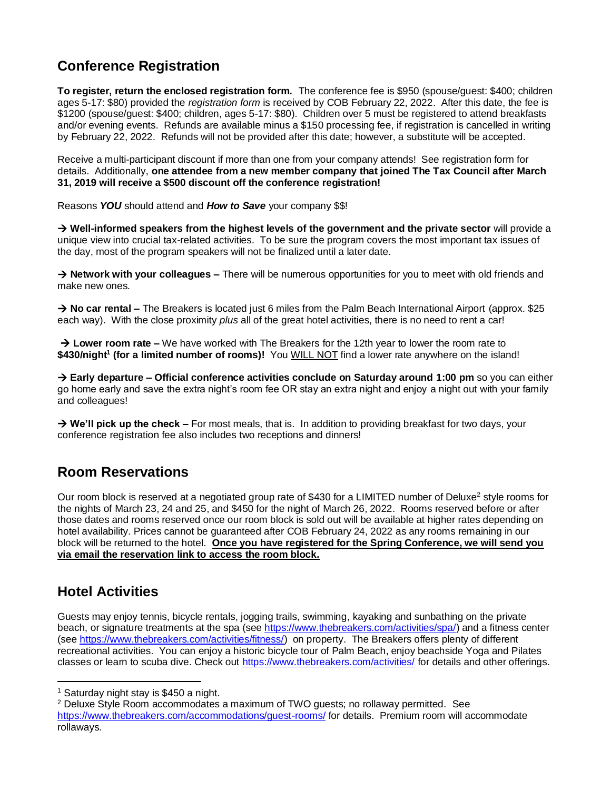# **Conference Registration**

**To register, return the enclosed registration form.** The conference fee is \$950 (spouse/guest: \$400; children ages 5-17: \$80) provided the *registration form* is received by COB February 22, 2022. After this date, the fee is \$1200 (spouse/guest: \$400; children, ages 5-17: \$80). Children over 5 must be registered to attend breakfasts and/or evening events. Refunds are available minus a \$150 processing fee, if registration is cancelled in writing by February 22, 2022. Refunds will not be provided after this date; however, a substitute will be accepted.

Receive a multi-participant discount if more than one from your company attends! See registration form for details. Additionally, **one attendee from a new member company that joined The Tax Council after March 31, 2019 will receive a \$500 discount off the conference registration!**

Reasons *YOU* should attend and *How to Save* your company \$\$!

→ **Well-informed speakers from the highest levels of the government and the private sector** will provide a unique view into crucial tax-related activities. To be sure the program covers the most important tax issues of the day, most of the program speakers will not be finalized until a later date.

→ **Network with your colleagues –** There will be numerous opportunities for you to meet with old friends and make new ones.

→ **No car rental –** The Breakers is located just 6 miles from the Palm Beach International Airport (approx. \$25 each way). With the close proximity *plus* all of the great hotel activities, there is no need to rent a car!

→ **Lower room rate –** We have worked with The Breakers for the 12th year to lower the room rate to **\$430/night<sup>1</sup> (for a limited number of rooms)!** You WILL NOT find a lower rate anywhere on the island!

→ **Early departure – Official conference activities conclude on Saturday around 1:00 pm** so you can either go home early and save the extra night's room fee OR stay an extra night and enjoy a night out with your family and colleagues!

→ **We'll pick up the check –** For most meals, that is. In addition to providing breakfast for two days, your conference registration fee also includes two receptions and dinners!

### **Room Reservations**

Our room block is reserved at a negotiated group rate of \$430 for a LIMITED number of Deluxe<sup>2</sup> style rooms for the nights of March 23, 24 and 25, and \$450 for the night of March 26, 2022. Rooms reserved before or after those dates and rooms reserved once our room block is sold out will be available at higher rates depending on hotel availability. Prices cannot be guaranteed after COB February 24, 2022 as any rooms remaining in our block will be returned to the hotel. **Once you have registered for the Spring Conference, we will send you via email the reservation link to access the room block.**

# **Hotel Activities**

Guests may enjoy tennis, bicycle rentals, jogging trails, swimming, kayaking and sunbathing on the private beach, or signature treatments at the spa (see [https://www.thebreakers.com/activities/spa/\)](https://www.thebreakers.com/activities/spa/) and a fitness center (see [https://www.thebreakers.com/activities/fitness/\)](https://www.thebreakers.com/activities/fitness/) on property. The Breakers offers plenty of different recreational activities. You can enjoy a historic bicycle tour of Palm Beach, enjoy beachside Yoga and Pilates classes or learn to scuba dive. Check out <https://www.thebreakers.com/activities/> for details and other offerings.

<sup>1</sup> Saturday night stay is \$450 a night.

<sup>&</sup>lt;sup>2</sup> Deluxe Style Room accommodates a maximum of TWO guests; no rollaway permitted. See https://www.thebreakers.com/accommodations/quest-rooms/ for details. Premium room will accommodate rollaways.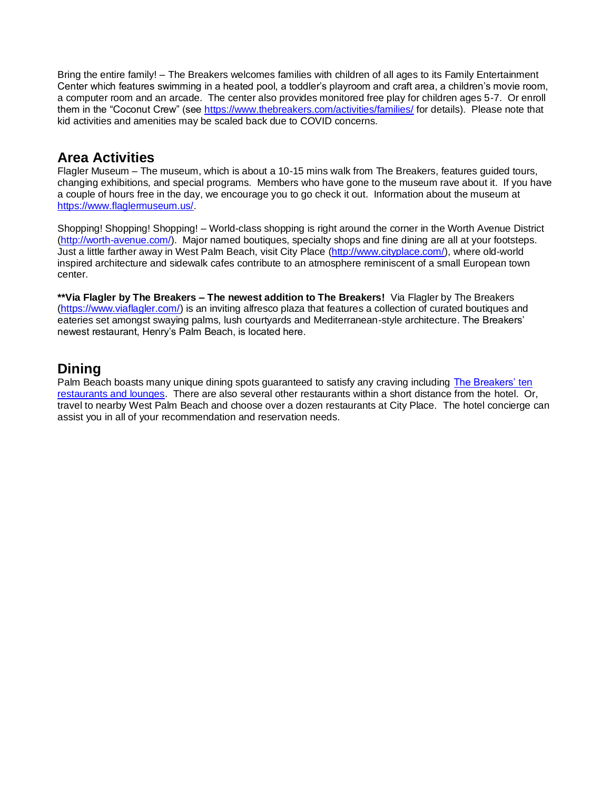Bring the entire family! – The Breakers welcomes families with children of all ages to its Family Entertainment Center which features swimming in a heated pool, a toddler's playroom and craft area, a children's movie room, a computer room and an arcade. The center also provides monitored free play for children ages 5-7. Or enroll them in the "Coconut Crew" (see<https://www.thebreakers.com/activities/families/> for details). Please note that kid activities and amenities may be scaled back due to COVID concerns.

#### **Area Activities**

Flagler Museum – The museum, which is about a 10-15 mins walk from The Breakers, features guided tours, changing exhibitions, and special programs. Members who have gone to the museum rave about it. If you have a couple of hours free in the day, we encourage you to go check it out. Information about the museum at [https://www.flaglermuseum.us/.](https://www.flaglermuseum.us/)

Shopping! Shopping! Shopping! – World-class shopping is right around the corner in the Worth Avenue District [\(http://worth-avenue.com/\)](http://worth-avenue.com/). Major named boutiques, specialty shops and fine dining are all at your footsteps. Just a little farther away in West Palm Beach, visit City Place [\(http://www.cityplace.com/\)](http://www.cityplace.com/), where old-world inspired architecture and sidewalk cafes contribute to an atmosphere reminiscent of a small European town center.

**\*\*Via Flagler by The Breakers – The newest addition to The Breakers!** Via Flagler by The Breakers [\(https://www.viaflagler.com/\)](https://www.viaflagler.com/) is an inviting alfresco plaza that features a collection of curated boutiques and eateries set amongst swaying palms, lush courtyards and Mediterranean-style architecture. The Breakers' newest restaurant, Henry's Palm Beach, is located here.

## **Dining**

Palm Beach boasts many unique dining spots guaranteed to satisfy any craving including [The Breakers' ten](https://www.thebreakers.com/dining/) [restaurants and lounges.](https://www.thebreakers.com/dining/) There are also several other restaurants within a short distance from the hotel. Or, travel to nearby West Palm Beach and choose over a dozen restaurants at City Place. The hotel concierge can assist you in all of your recommendation and reservation needs.